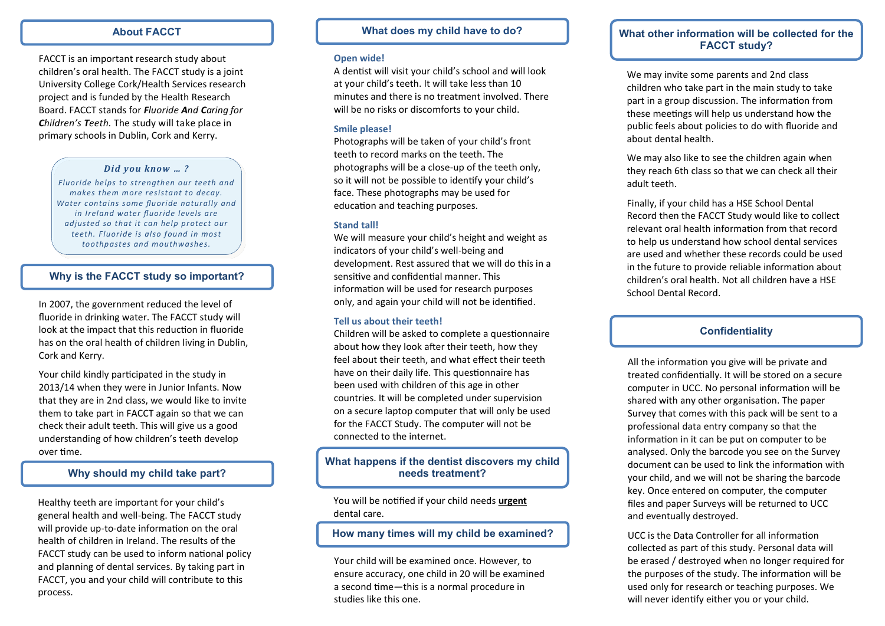### **About FACCT**

FACCT is an important research study about children's oral health. The FACCT study is a joint University College Cork/Health Services research project and is funded by the Health Research Board. FACCT stands for *Fluoride And Caring for Children's Teeth.* The study will take place in primary schools in Dublin, Cork and Kerry.

#### *Did you know … ?*

*Fluoride helps to strengthen our teeth and makes them more resistant to decay. Water contains some fluoride naturally and in Ireland water fluoride levels are adjusted so that it can help protect our teeth. Fluoride is also found in most toothpastes and mouthwashes.*

#### **Why is the FACCT study so important?**

In 2007, the government reduced the level of fluoride in drinking water. The FACCT study will look at the impact that this reduction in fluoride has on the oral health of children living in Dublin, Cork and Kerry.

Your child kindly participated in the study in 2013/14 when they were in Junior Infants. Now that they are in 2nd class, we would like to invite them to take part in FACCT again so that we can check their adult teeth. This will give us a good understanding of how children's teeth develop over time.

# **Why should my child take part?**

Healthy teeth are important for your child's general health and well-being. The FACCT study will provide up-to-date information on the oral health of children in Ireland. The results of the FACCT study can be used to inform national policy and planning of dental services. By taking part in FACCT, you and your child will contribute to this process.

### **What does my child have to do?**

#### **Open wide!**

A dentist will visit your child's school and will look at your child's teeth. It will take less than 10 minutes and there is no treatment involved. There will be no risks or discomforts to your child.

#### **Smile please!**

Photographs will be taken of your child's front teeth to record marks on the teeth. The photographs will be a close-up of the teeth only, so it will not be possible to identify your child's face. These photographs may be used for education and teaching purposes.

#### **Stand tall!**

We will measure your child's height and weight as indicators of your child's well-being and development. Rest assured that we will do this in a sensitive and confidential manner. This information will be used for research purposes only, and again your child will not be identified.

### **Tell us about their teeth!**

Children will be asked to complete a questionnaire about how they look after their teeth, how they feel about their teeth, and what effect their teeth have on their daily life. This questionnaire has been used with children of this age in other countries. It will be completed under supervision on a secure laptop computer that will only be used for the FACCT Study. The computer will not be connected to the internet.

# **What happens if the dentist discovers my child needs treatment?**

You will be notified if your child needs **urgent**  dental care.

# **How many times will my child be examined?**

Your child will be examined once. However, to ensure accuracy, one child in 20 will be examined a second time—this is a normal procedure in studies like this one.

# **What other information will be collected for the FACCT study?**

We may invite some parents and 2nd class children who take part in the main study to take part in a group discussion. The information from these meetings will help us understand how the public feels about policies to do with fluoride and about dental health.

We may also like to see the children again when they reach 6th class so that we can check all their adult teeth.

Finally, if your child has a HSE School Dental Record then the FACCT Study would like to collect relevant oral health information from that record to help us understand how school dental services are used and whether these records could be used in the future to provide reliable information about children's oral health. Not all children have a HSE School Dental Record.

## **Confidentiality**

All the information you give will be private and treated confidentially. It will be stored on a secure computer in UCC. No personal information will be shared with any other organisation. The paper Survey that comes with this pack will be sent to a professional data entry company so that the information in it can be put on computer to be analysed. Only the barcode you see on the Survey document can be used to link the information with your child, and we will not be sharing the barcode key. Once entered on computer, the computer files and paper Surveys will be returned to UCC and eventually destroyed.

UCC is the Data Controller for all information collected as part of this study. Personal data will be erased / destroyed when no longer required for the purposes of the study. The information will be used only for research or teaching purposes. We will never identify either you or your child.